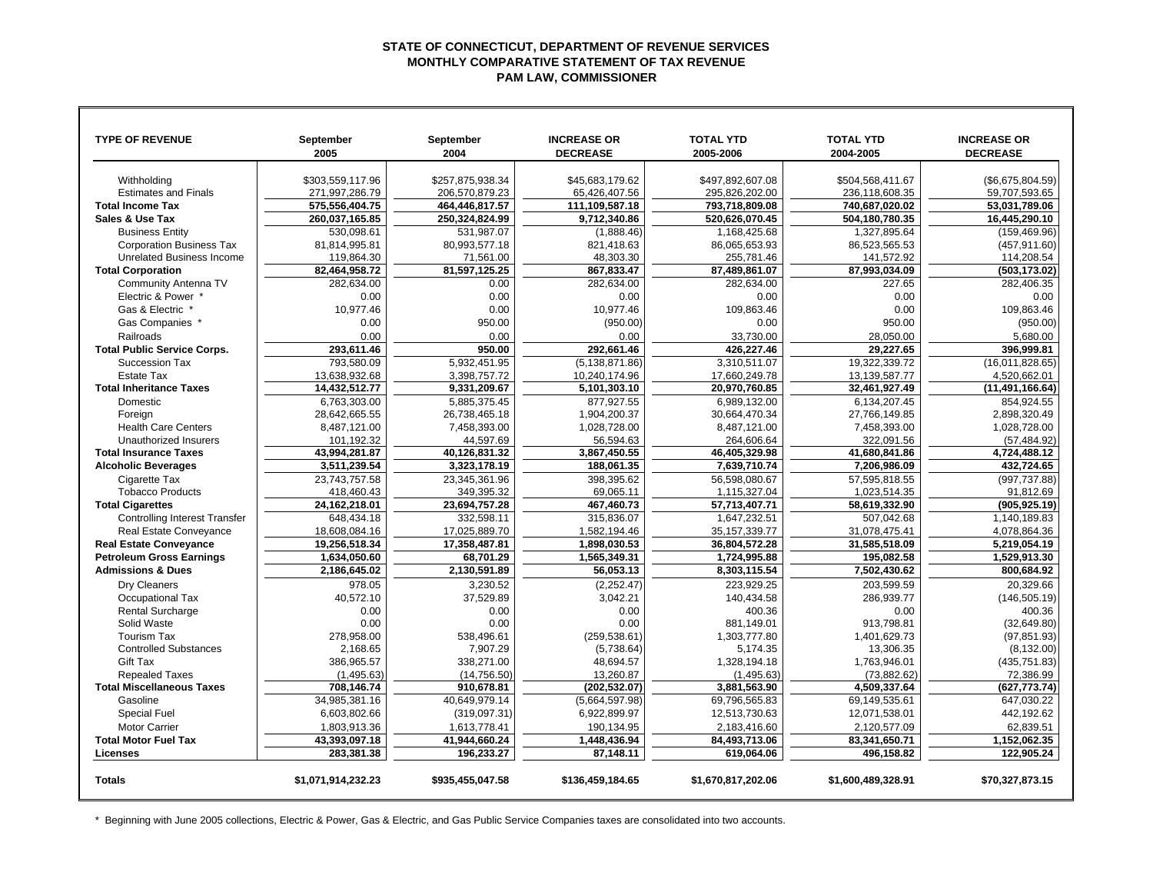## **STATE OF CONNECTICUT, DEPARTMENT OF REVENUE SERVICES MONTHLY COMPARATIVE STATEMENT OF TAX REVENUE PAM LAW, COMMISSIONER**

| <b>TYPE OF REVENUE</b>               | September<br>2005  | September<br>2004 | <b>INCREASE OR</b><br><b>DECREASE</b> | <b>TOTAL YTD</b><br>2005-2006 | <b>TOTAL YTD</b><br>2004-2005 | <b>INCREASE OR</b><br><b>DECREASE</b> |
|--------------------------------------|--------------------|-------------------|---------------------------------------|-------------------------------|-------------------------------|---------------------------------------|
| Withholding                          | \$303.559.117.96   | \$257.875.938.34  | \$45.683.179.62                       | \$497.892.607.08              | \$504.568.411.67              | (\$6,675,804.59)                      |
| <b>Estimates and Finals</b>          | 271,997,286.79     | 206,570,879.23    | 65,426,407.56                         | 295,826,202.00                | 236,118,608.35                | 59,707,593.65                         |
| <b>Total Income Tax</b>              | 575,556,404.75     | 464.446.817.57    | 111,109,587.18                        | 793.718.809.08                | 740.687.020.02                | 53.031.789.06                         |
| Sales & Use Tax                      | 260,037,165.85     | 250.324.824.99    | 9.712.340.86                          | 520,626,070.45                | 504.180.780.35                | 16,445,290.10                         |
| <b>Business Entity</b>               | 530.098.61         | 531.987.07        | (1.888.46)                            | 1.168.425.68                  | 1.327.895.64                  | (159, 469.96)                         |
| <b>Corporation Business Tax</b>      | 81,814,995.81      | 80,993,577.18     | 821.418.63                            | 86,065,653.93                 | 86,523,565.53                 | (457, 911.60)                         |
| <b>Unrelated Business Income</b>     | 119.864.30         | 71.561.00         | 48.303.30                             | 255.781.46                    | 141.572.92                    | 114.208.54                            |
| <b>Total Corporation</b>             | 82,464,958.72      | 81,597,125.25     | 867,833.47                            | 87,489,861.07                 | 87,993,034.09                 | (503, 173.02)                         |
| Community Antenna TV                 | 282.634.00         | 0.00              | 282.634.00                            | 282.634.00                    | 227.65                        | 282.406.35                            |
| Electric & Power                     | 0.00               | 0.00              | 0.00                                  | 0.00                          | 0.00                          | 0.00                                  |
| Gas & Electric '                     | 10.977.46          | 0.00              | 10.977.46                             | 109.863.46                    | 0.00                          | 109.863.46                            |
| Gas Companies '                      | 0.00               | 950.00            | (950.00)                              | 0.00                          | 950.00                        | (950.00)                              |
| Railroads                            | 0.00               | 0.00              | 0.00                                  | 33.730.00                     | 28.050.00                     | 5.680.00                              |
| <b>Total Public Service Corps.</b>   | 293,611.46         | 950.00            | 292,661.46                            | 426,227.46                    | 29.227.65                     | 396,999.81                            |
| Succession Tax                       | 793,580.09         | 5,932,451.95      | (5, 138, 871.86)                      | 3,310,511.07                  | 19,322,339.72                 | (16,011,828.65)                       |
| <b>Estate Tax</b>                    | 13,638,932.68      | 3,398,757.72      | 10,240,174.96                         | 17,660,249.78                 | 13,139,587.77                 | 4,520,662.01                          |
| <b>Total Inheritance Taxes</b>       | 14,432,512.77      | 9,331,209.67      | 5,101,303.10                          | 20,970,760.85                 | 32,461,927.49                 | (11, 491, 166.64)                     |
| Domestic                             | 6,763,303.00       | 5,885,375.45      | 877,927.55                            | 6,989,132.00                  | 6,134,207.45                  | 854,924.55                            |
| Foreign                              | 28,642,665.55      | 26,738,465.18     | 1,904,200.37                          | 30,664,470.34                 | 27,766,149.85                 | 2,898,320.49                          |
| <b>Health Care Centers</b>           | 8,487,121.00       | 7,458,393.00      | 1,028,728.00                          | 8,487,121.00                  | 7,458,393.00                  | 1,028,728.00                          |
| Unauthorized Insurers                | 101,192.32         | 44,597.69         | 56,594.63                             | 264,606.64                    | 322,091.56                    | (57, 484.92)                          |
| <b>Total Insurance Taxes</b>         | 43,994,281.87      | 40,126,831.32     | 3,867,450.55                          | 46,405,329.98                 | 41,680,841.86                 | 4,724,488.12                          |
| <b>Alcoholic Beverages</b>           | 3,511,239.54       | 3,323,178.19      | 188,061.35                            | 7,639,710.74                  | 7,206,986.09                  | 432,724.65                            |
| Cigarette Tax                        | 23,743,757.58      | 23,345,361.96     | 398,395.62                            | 56,598,080.67                 | 57,595,818.55                 | (997, 737.88)                         |
| <b>Tobacco Products</b>              | 418,460.43         | 349,395.32        | 69,065.11                             | 1,115,327.04                  | 1,023,514.35                  | 91,812.69                             |
| <b>Total Cigarettes</b>              | 24,162,218.01      | 23,694,757.28     | 467,460.73                            | 57,713,407.71                 | 58,619,332.90                 | (905, 925.19)                         |
| <b>Controlling Interest Transfer</b> | 648,434.18         | 332,598.11        | 315,836.07                            | 1,647,232.51                  | 507,042.68                    | 1,140,189.83                          |
| Real Estate Conveyance               | 18,608,084.16      | 17,025,889.70     | 1,582,194.46                          | 35, 157, 339. 77              | 31,078,475.41                 | 4,078,864.36                          |
| <b>Real Estate Conveyance</b>        | 19,256,518.34      | 17,358,487.81     | 1,898,030.53                          | 36,804,572.28                 | 31,585,518.09                 | 5,219,054.19                          |
| <b>Petroleum Gross Earnings</b>      | 1,634,050.60       | 68.701.29         | 1.565.349.31                          | 1,724,995.88                  | 195.082.58                    | 1.529.913.30                          |
| <b>Admissions &amp; Dues</b>         | 2.186.645.02       | 2.130.591.89      | 56.053.13                             | 8,303,115.54                  | 7,502,430.62                  | 800.684.92                            |
| Dry Cleaners                         | 978.05             | 3.230.52          | (2.252.47)                            | 223.929.25                    | 203.599.59                    | 20.329.66                             |
| Occupational Tax                     | 40.572.10          | 37.529.89         | 3.042.21                              | 140.434.58                    | 286.939.77                    | (146.505.19)                          |
| <b>Rental Surcharge</b>              | 0.00               | 0.00              | 0.00                                  | 400.36                        | 0.00                          | 400.36                                |
| Solid Waste                          | 0.00               | 0.00              | 0.00                                  | 881,149.01                    | 913.798.81                    | (32,649.80)                           |
| <b>Tourism Tax</b>                   | 278,958.00         | 538.496.61        | (259, 538.61)                         | 1,303,777.80                  | 1,401,629.73                  | (97, 851.93)                          |
| <b>Controlled Substances</b>         | 2.168.65           | 7.907.29          | (5,738.64)                            | 5,174.35                      | 13.306.35                     | (8, 132.00)                           |
| Gift Tax                             | 386.965.57         | 338.271.00        | 48.694.57                             | 1.328.194.18                  | 1.763.946.01                  | (435, 751.83)                         |
| <b>Repealed Taxes</b>                | (1, 495.63)        | (14.756.50)       | 13,260.87                             | (1, 495.63)                   | (73.882.62)                   | 72,386.99                             |
| <b>Total Miscellaneous Taxes</b>     | 708.146.74         | 910.678.81        | (202, 532.07)                         | 3.881.563.90                  | 4.509.337.64                  | (627.773.74)                          |
| Gasoline                             | 34,985,381.16      | 40,649,979.14     | (5,664,597.98)                        | 69,796,565.83                 | 69,149,535.61                 | 647,030.22                            |
| <b>Special Fuel</b>                  | 6,603,802.66       | (319,097.31)      | 6,922,899.97                          | 12,513,730.63                 | 12,071,538.01                 | 442,192.62                            |
| <b>Motor Carrier</b>                 | 1,803,913.36       | 1,613,778.41      | 190,134.95                            | 2,183,416.60                  | 2,120,577.09                  | 62,839.51                             |
| <b>Total Motor Fuel Tax</b>          | 43.393.097.18      | 41.944.660.24     | 1.448.436.94                          | 84.493.713.06                 | 83.341.650.71                 | 1.152.062.35                          |
| <b>Licenses</b>                      | 283.381.38         | 196.233.27        | 87.148.11                             | 619.064.06                    | 496.158.82                    | 122,905.24                            |
| <b>Totals</b>                        | \$1,071,914,232.23 | \$935,455,047.58  | \$136.459.184.65                      | \$1.670.817.202.06            | \$1.600.489.328.91            | \$70,327,873.15                       |

\* Beginning with June 2005 collections, Electric & Power, Gas & Electric, and Gas Public Service Companies taxes are consolidated into two accounts.